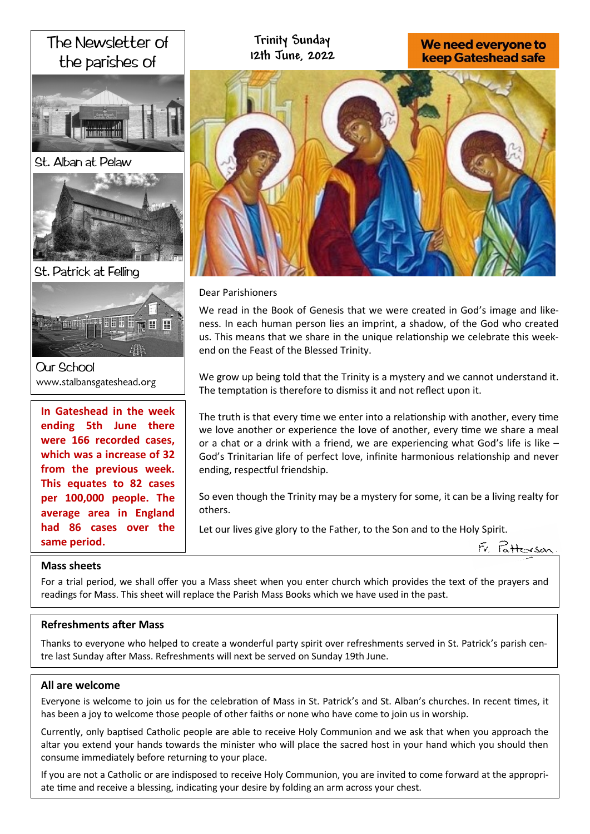# The Newsletter of the parishes of





St. Patrick at Felling



**Our School** www.stalbansgateshead.org

**In Gateshead in the week ending 5th June there were 166 recorded cases, which was a increase of 32 from the previous week. This equates to 82 cases per 100,000 people. The average area in England had 86 cases over the same period.** 

# **Trinity Sunday 12th June, 2022**

# We need everyone to **keep Gateshead safe**



Dear Parishioners

We read in the Book of Genesis that we were created in God's image and likeness. In each human person lies an imprint, a shadow, of the God who created us. This means that we share in the unique relationship we celebrate this weekend on the Feast of the Blessed Trinity.

We grow up being told that the Trinity is a mystery and we cannot understand it. The temptation is therefore to dismiss it and not reflect upon it.

The truth is that every time we enter into a relationship with another, every time we love another or experience the love of another, every time we share a meal or a chat or a drink with a friend, we are experiencing what God's life is like – God's Trinitarian life of perfect love, infinite harmonious relationship and never ending, respectful friendship.

So even though the Trinity may be a mystery for some, it can be a living realty for others.

Let our lives give glory to the Father, to the Son and to the Holy Spirit.



# **Mass sheets**

For a trial period, we shall offer you a Mass sheet when you enter church which provides the text of the prayers and readings for Mass. This sheet will replace the Parish Mass Books which we have used in the past.

# **Refreshments after Mass**

Thanks to everyone who helped to create a wonderful party spirit over refreshments served in St. Patrick's parish centre last Sunday after Mass. Refreshments will next be served on Sunday 19th June.

# **All are welcome**

Everyone is welcome to join us for the celebration of Mass in St. Patrick's and St. Alban's churches. In recent times, it has been a joy to welcome those people of other faiths or none who have come to join us in worship.

Currently, only baptised Catholic people are able to receive Holy Communion and we ask that when you approach the altar you extend your hands towards the minister who will place the sacred host in your hand which you should then consume immediately before returning to your place.

If you are not a Catholic or are indisposed to receive Holy Communion, you are invited to come forward at the appropriate time and receive a blessing, indicating your desire by folding an arm across your chest.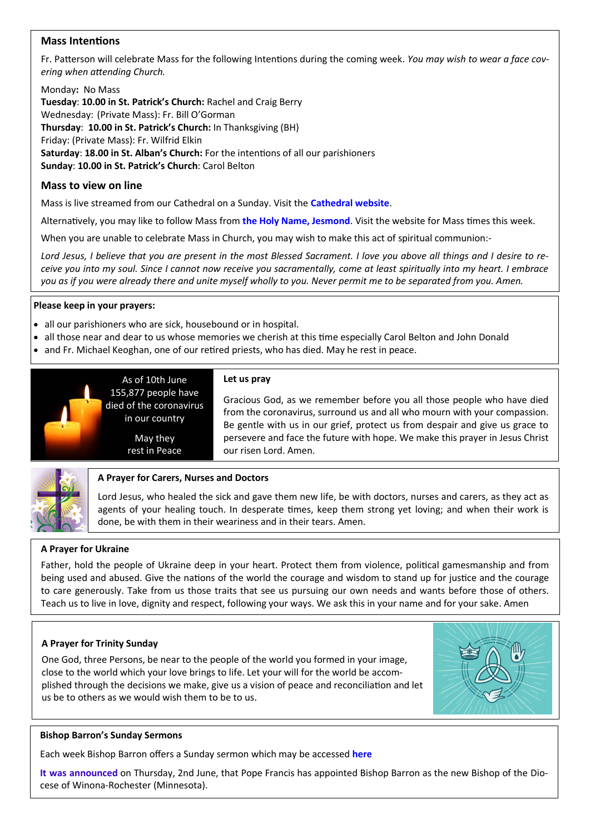# **Mass Intentions**

Fr. Patterson will celebrate Mass for the following Intentions during the coming week. *You may wish to wear a face covering when attending Church.*

Monday**:** No Mass **Tuesday**: **10.00 in St. Patrick's Church:** Rachel and Craig Berry Wednesday: (Private Mass): Fr. Bill O'Gorman **Thursday**: **10.00 in St. Patrick's Church:** In Thanksgiving (BH) Friday: (Private Mass): Fr. Wilfrid Elkin **Saturday**: **18.00 in St. Alban's Church:** For the intentions of all our parishioners **Sunday**: **10.00 in St. Patrick's Church**: Carol Belton

# **Mass to view on line**

Mass is live streamed from our Cathedral on a Sunday. Visit the **[Cathedral website](https://www.youtube.com/channel/UC12EvW0Eqg-cFTh5i2y_EQw)**.

Alternatively, you may like to follow Mass from **the [Holy Name, Jesmond](https://www.youtube.com/channel/UCnVss0mkVR2GKS5VPJOEsDA)**. Visit the website for Mass times this week.

When you are unable to celebrate Mass in Church, you may wish to make this act of spiritual communion:-

*Lord Jesus, I believe that you are present in the most Blessed Sacrament. I love you above all things and I desire to receive you into my soul. Since I cannot now receive you sacramentally, come at least spiritually into my heart. I embrace you as if you were already there and unite myself wholly to you. Never permit me to be separated from you. Amen.*

#### **Please keep in your prayers:**

• all our parishioners who are sick, housebound or in hospital.

in our country

May they rest in Peace

- all those near and dear to us whose memories we cherish at this time especially Carol Belton and John Donald
- and Fr. Michael Keoghan, one of our retired priests, who has died. May he rest in peace.



#### **Let us pray** As of 10th June 155,877 people have

Gracious God, as we remember before you all those people who have died from the coronavirus, surround us and all who mourn with your compassion. Be gentle with us in our grief, protect us from despair and give us grace to persevere and face the future with hope. We make this prayer in Jesus Christ our risen Lord. Amen.



#### **A Prayer for Carers, Nurses and Doctors**

Lord Jesus, who healed the sick and gave them new life, be with doctors, nurses and carers, as they act as agents of your healing touch. In desperate times, keep them strong yet loving; and when their work is done, be with them in their weariness and in their tears. Amen.

#### **A Prayer for Ukraine**

Father, hold the people of Ukraine deep in your heart. Protect them from violence, political gamesmanship and from being used and abused. Give the nations of the world the courage and wisdom to stand up for justice and the courage to care generously. Take from us those traits that see us pursuing our own needs and wants before those of others. Teach us to live in love, dignity and respect, following your ways. We ask this in your name and for your sake. Amen

#### **A Prayer for Trinity Sunday**

One God, three Persons, be near to the people of the world you formed in your image, close to the world which your love brings to life. Let your will for the world be accomplished through the decisions we make, give us a vision of peace and reconciliation and let us be to others as we would wish them to be to us.



#### **Bishop Barron's Sunday Sermons**

Each week Bishop Barron offers a Sunday sermon which may be accessed **[here](https://www.wordonfire.org/videos/sermons/)**

**[It was announced](https://www.wordonfire.org/articles/barron/bishop-barron-diocese-winona-rochester/)** on Thursday, 2nd June, that Pope Francis has appointed Bishop Barron as the new Bishop of the Diocese of Winona-Rochester (Minnesota).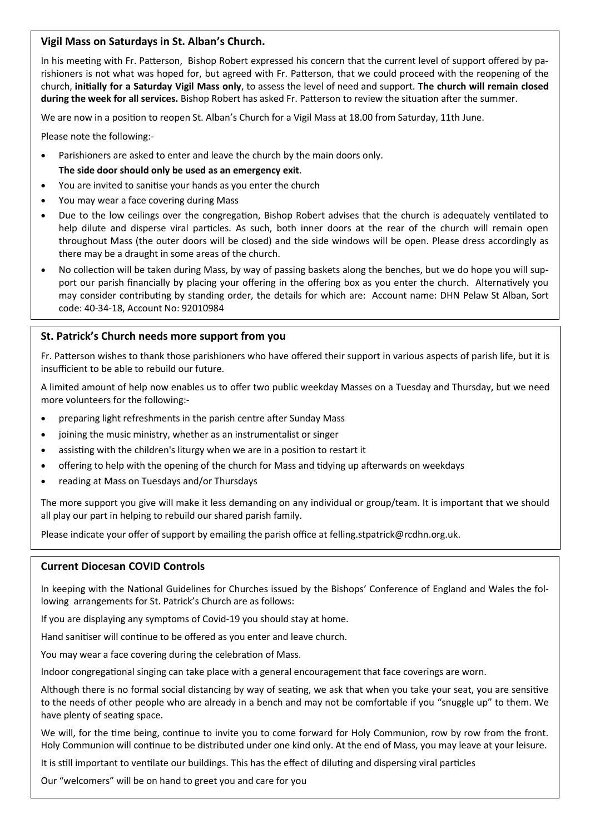### **Vigil Mass on Saturdays in St. Alban's Church.**

In his meeting with Fr. Patterson, Bishop Robert expressed his concern that the current level of support offered by parishioners is not what was hoped for, but agreed with Fr. Patterson, that we could proceed with the reopening of the church, **initially for a Saturday Vigil Mass only**, to assess the level of need and support. **The church will remain closed during the week for all services.** Bishop Robert has asked Fr. Patterson to review the situation after the summer.

We are now in a position to reopen St. Alban's Church for a Vigil Mass at 18.00 from Saturday, 11th June.

Please note the following:-

- Parishioners are asked to enter and leave the church by the main doors only.
	- **The side door should only be used as an emergency exit**.
- You are invited to sanitise your hands as you enter the church
- You may wear a face covering during Mass
- Due to the low ceilings over the congregation, Bishop Robert advises that the church is adequately ventilated to help dilute and disperse viral particles. As such, both inner doors at the rear of the church will remain open throughout Mass (the outer doors will be closed) and the side windows will be open. Please dress accordingly as there may be a draught in some areas of the church.
- No collection will be taken during Mass, by way of passing baskets along the benches, but we do hope you will support our parish financially by placing your offering in the offering box as you enter the church. Alternatively you may consider contributing by standing order, the details for which are: Account name: DHN Pelaw St Alban, Sort code: 40-34-18, Account No: 92010984

# **St. Patrick's Church needs more support from you**

Fr. Patterson wishes to thank those parishioners who have offered their support in various aspects of parish life, but it is insufficient to be able to rebuild our future.

A limited amount of help now enables us to offer two public weekday Masses on a Tuesday and Thursday, but we need more volunteers for the following:-

- preparing light refreshments in the parish centre after Sunday Mass
- joining the music ministry, whether as an instrumentalist or singer
- assisting with the children's liturgy when we are in a position to restart it
- offering to help with the opening of the church for Mass and tidying up afterwards on weekdays
- reading at Mass on Tuesdays and/or Thursdays

The more support you give will make it less demanding on any individual or group/team. It is important that we should all play our part in helping to rebuild our shared parish family.

Please indicate your offer of support by emailing the parish office at felling.stpatrick@rcdhn.org.uk.

#### **Current Diocesan COVID Controls**

In keeping with the National Guidelines for Churches issued by the Bishops' Conference of England and Wales the following arrangements for St. Patrick's Church are as follows:

If you are displaying any symptoms of Covid-19 you should stay at home.

Hand sanitiser will continue to be offered as you enter and leave church.

You may wear a face covering during the celebration of Mass.

Indoor congregational singing can take place with a general encouragement that face coverings are worn.

Although there is no formal social distancing by way of seating, we ask that when you take your seat, you are sensitive to the needs of other people who are already in a bench and may not be comfortable if you "snuggle up" to them. We have plenty of seating space.

We will, for the time being, continue to invite you to come forward for Holy Communion, row by row from the front. Holy Communion will continue to be distributed under one kind only. At the end of Mass, you may leave at your leisure.

It is still important to ventilate our buildings. This has the effect of diluting and dispersing viral particles

Our "welcomers" will be on hand to greet you and care for you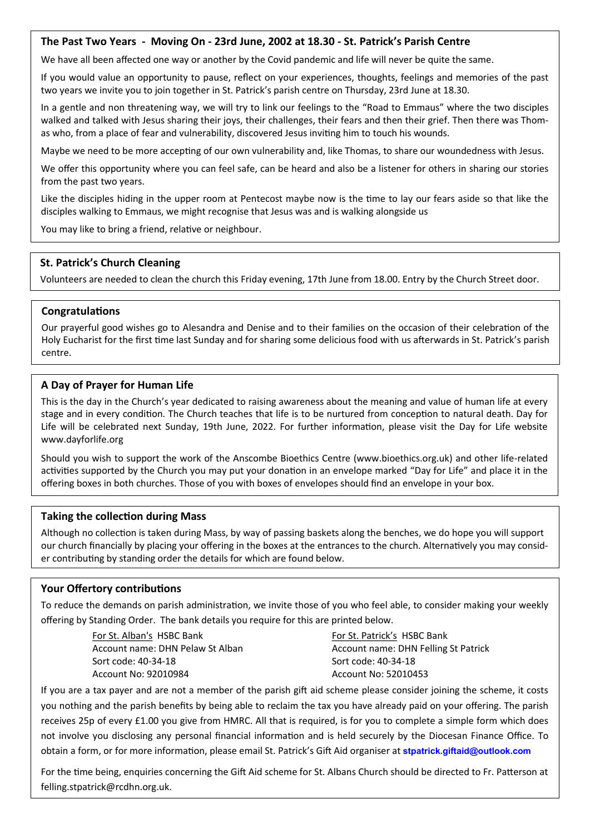### **The Past Two Years - Moving On - 23rd June, 2002 at 18.30 - St. Patrick's Parish Centre**

We have all been affected one way or another by the Covid pandemic and life will never be quite the same.

If you would value an opportunity to pause, reflect on your experiences, thoughts, feelings and memories of the past two years we invite you to join together in St. Patrick's parish centre on Thursday, 23rd June at 18.30.

In a gentle and non threatening way, we will try to link our feelings to the "Road to Emmaus" where the two disciples walked and talked with Jesus sharing their joys, their challenges, their fears and then their grief. Then there was Thomas who, from a place of fear and vulnerability, discovered Jesus inviting him to touch his wounds.

Maybe we need to be more accepting of our own vulnerability and, like Thomas, to share our woundedness with Jesus.

We offer this opportunity where you can feel safe, can be heard and also be a listener for others in sharing our stories from the past two years.

Like the disciples hiding in the upper room at Pentecost maybe now is the time to lay our fears aside so that like the disciples walking to Emmaus, we might recognise that Jesus was and is walking alongside us

You may like to bring a friend, relative or neighbour.

### **St. Patrick's Church Cleaning**

Volunteers are needed to clean the church this Friday evening, 17th June from 18.00. Entry by the Church Street door.

#### **Congratulations**

Our prayerful good wishes go to Alesandra and Denise and to their families on the occasion of their celebration of the Holy Eucharist for the first time last Sunday and for sharing some delicious food with us afterwards in St. Patrick's parish centre.

### **A Day of Prayer for Human Life**

This is the day in the Church's year dedicated to raising awareness about the meaning and value of human life at every stage and in every condition. The Church teaches that life is to be nurtured from conception to natural death. Day for Life will be celebrated next Sunday, 19th June, 2022. For further information, please visit the Day for Life website www.dayforlife.org

Should you wish to support the work of the Anscombe Bioethics Centre (www.bioethics.org.uk) and other life-related activities supported by the Church you may put your donation in an envelope marked "Day for Life" and place it in the offering boxes in both churches. Those of you with boxes of envelopes should find an envelope in your box.

#### **Taking the collection during Mass**

Although no collection is taken during Mass, by way of passing baskets along the benches, we do hope you will support our church financially by placing your offering in the boxes at the entrances to the church. Alternatively you may consider contributing by standing order the details for which are found below.

# **Your Offertory contributions**

To reduce the demands on parish administration, we invite those of you who feel able, to consider making your weekly offering by Standing Order. The bank details you require for this are printed below.

> For St. Alban's HSBC Bank Account name: DHN Pelaw St Alban Sort code: 40-34-18 Account No: 92010984

For St. Patrick's HSBC Bank Account name: DHN Felling St Patrick Sort code: 40-34-18 Account No: 52010453

If you are a tax payer and are not a member of the parish gift aid scheme please consider joining the scheme, it costs you nothing and the parish benefits by being able to reclaim the tax you have already paid on your offering. The parish receives 25p of every £1.00 you give from HMRC. All that is required, is for you to complete a simple form which does not involve you disclosing any personal financial information and is held securely by the Diocesan Finance Office. To obtain a form, or for more information, please email St. Patrick's Gift Aid organiser at **[stpatrick.giftaid@outlook.com](mailto:stpatrick.giftaid@outlook.com)**

For the time being, enquiries concerning the Gift Aid scheme for St. Albans Church should be directed to Fr. Patterson at felling.stpatrick@rcdhn.org.uk.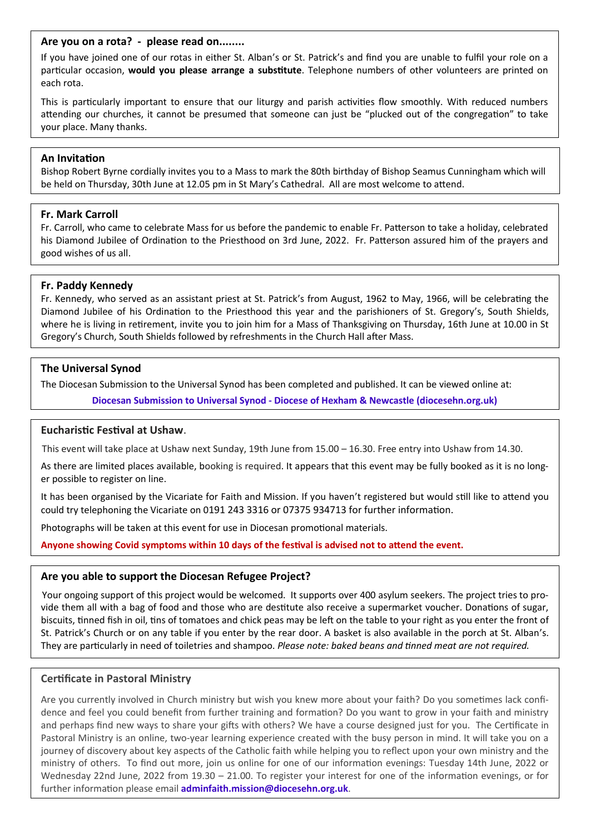#### **Are you on a rota? - please read on........**

If you have joined one of our rotas in either St. Alban's or St. Patrick's and find you are unable to fulfil your role on a particular occasion, **would you please arrange a substitute**. Telephone numbers of other volunteers are printed on each rota.

This is particularly important to ensure that our liturgy and parish activities flow smoothly. With reduced numbers attending our churches, it cannot be presumed that someone can just be "plucked out of the congregation" to take your place. Many thanks.

#### **An Invitation**

Bishop Robert Byrne cordially invites you to a Mass to mark the 80th birthday of Bishop Seamus Cunningham which will be held on Thursday, 30th June at 12.05 pm in St Mary's Cathedral. All are most welcome to attend.

#### **Fr. Mark Carroll**

Fr. Carroll, who came to celebrate Mass for us before the pandemic to enable Fr. Patterson to take a holiday, celebrated his Diamond Jubilee of Ordination to the Priesthood on 3rd June, 2022. Fr. Patterson assured him of the prayers and good wishes of us all.

#### **Fr. Paddy Kennedy**

Fr. Kennedy, who served as an assistant priest at St. Patrick's from August, 1962 to May, 1966, will be celebrating the Diamond Jubilee of his Ordination to the Priesthood this year and the parishioners of St. Gregory's, South Shields, where he is living in retirement, invite you to join him for a Mass of Thanksgiving on Thursday, 16th June at 10.00 in St Gregory's Church, South Shields followed by refreshments in the Church Hall after Mass.

#### **The Universal Synod**

The Diocesan Submission to the Universal Synod has been completed and published. It can be viewed online at: **Diocesan Submission to Universal Synod - [Diocese of Hexham & Newcastle \(diocesehn.org.uk\)](https://diocesehn.org.uk/news/diocesan-submission-to-universal-synod/)**

#### **Eucharistic Festival at Ushaw**.

This event will take place at Ushaw next Sunday, 19th June from 15.00 – 16.30. Free entry into Ushaw from 14.30.

As there are limited places available, booking is required. It appears that this event may be fully booked as it is no longer possible to register on line.

It has been organised by the Vicariate for Faith and Mission. If you haven't registered but would still like to attend you could try telephoning the Vicariate on 0191 243 3316 or 07375 934713 for further information.

Photographs will be taken at this event for use in Diocesan promotional materials.

**Anyone showing Covid symptoms within 10 days of the festival is advised not to attend the event.**

#### **Are you able to support the Diocesan Refugee Project?**

Your ongoing support of this project would be welcomed. It supports over 400 asylum seekers. The project tries to provide them all with a bag of food and those who are destitute also receive a supermarket voucher. Donations of sugar, biscuits, tinned fish in oil, tins of tomatoes and chick peas may be left on the table to your right as you enter the front of St. Patrick's Church or on any table if you enter by the rear door. A basket is also available in the porch at St. Alban's. They are particularly in need of toiletries and shampoo. *Please note: baked beans and tinned meat are not required.*

#### **Certificate in Pastoral Ministry**

Are you currently involved in Church ministry but wish you knew more about your faith? Do you sometimes lack confidence and feel you could benefit from further training and formation? Do you want to grow in your faith and ministry and perhaps find new ways to share your gifts with others? We have a course designed just for you. The Certificate in Pastoral Ministry is an online, two-year learning experience created with the busy person in mind. It will take you on a journey of discovery about key aspects of the Catholic faith while helping you to reflect upon your own ministry and the ministry of others. To find out more, join us online for one of our information evenings: Tuesday 14th June, 2022 or Wednesday 22nd June, 2022 from 19.30 – 21.00. To register your interest for one of the information evenings, or for further information please email **[adminfaith.mission@diocesehn.org.uk](mailto:adminfaith.mission@diocesehn.org.uk)**.